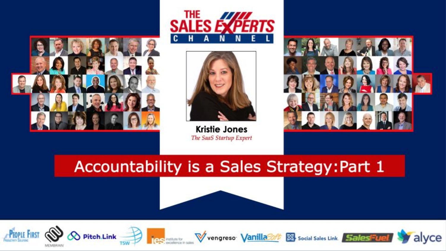





**Kristie Jones** The SaaS Startup Expert



#### Accountability is a Sales Strategy: Part 1











alyce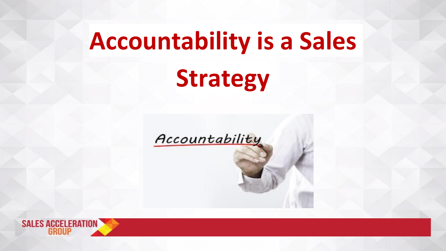# **Accountability is a Sales Strategy**

Accountability

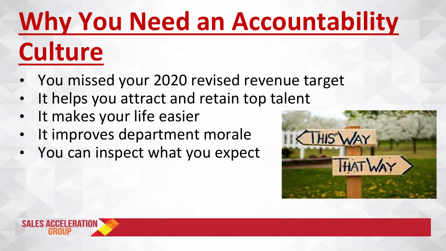# **Why You Need an Accountability**

# **Culture**

- You missed your 2020 revised revenue target
- It helps you attract and retain top talent
- It makes your life easier
- It improves department morale
- You can inspect what you expect



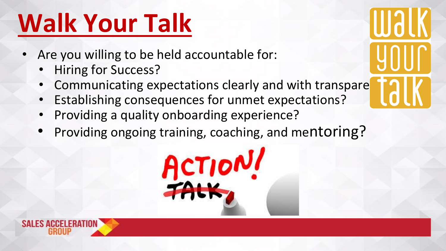## **Walk Your Talk**

- Are you willing to be held accountable for:
	- **Hiring for Success?**
	- Communicating expectations clearly and with transpare

**THAL** 

- Establishing consequences for unmet expectations?
- Providing a quality onboarding experience?
- Providing ongoing training, coaching, and mentoring?

ACTION!

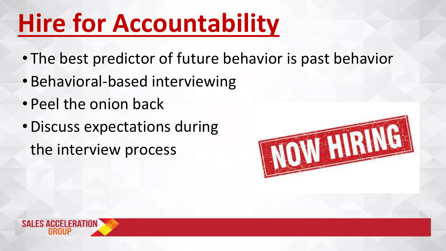## **Hire for Accountability**

- The best predictor of future behavior is past behavior
- Behavioral-based interviewing
- Peel the onion back
- •Discuss expectations during the interview process



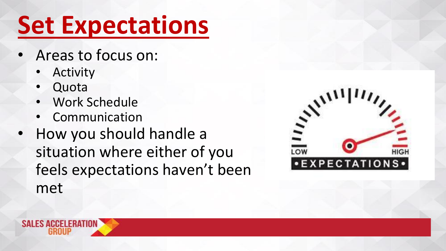## **Set Expectations**

- Areas to focus on:
	- **Activity**
	- **Quota**
	- Work Schedule
	- **Communication**
- How you should handle a situation where either of you feels expectations haven't been met



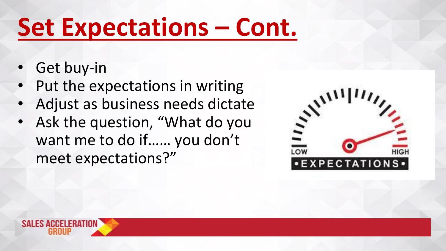## **Set Expectations – Cont.**

- Get buy-in
- Put the expectations in writing
- Adjust as business needs dictate
- Ask the question, "What do you want me to do if…… you don't meet expectations?"



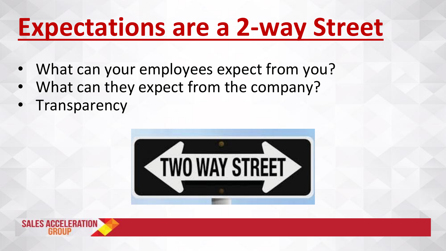#### **Expectations are a 2-way Street**

- What can your employees expect from you?
- What can they expect from the company?
- **Transparency**



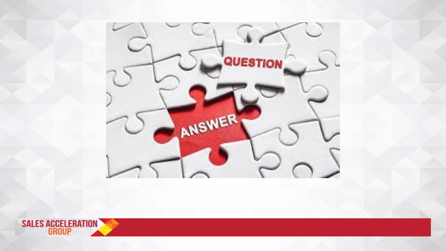